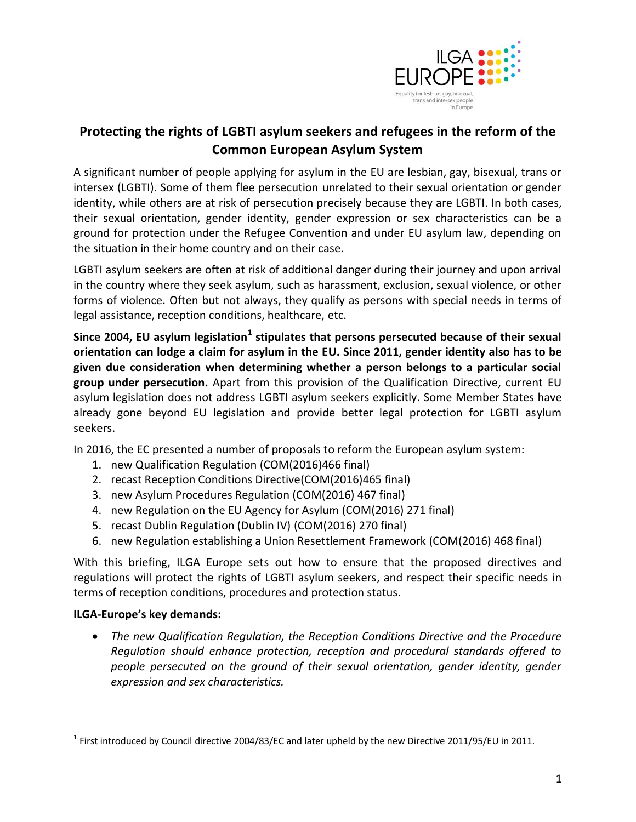

# **Protecting the rights of LGBTI asylum seekers and refugees in the reform of the Common European Asylum System**

A significant number of people applying for asylum in the EU are lesbian, gay, bisexual, trans or intersex (LGBTI). Some of them flee persecution unrelated to their sexual orientation or gender identity, while others are at risk of persecution precisely because they are LGBTI. In both cases, their sexual orientation, gender identity, gender expression or sex characteristics can be a ground for protection under the Refugee Convention and under EU asylum law, depending on the situation in their home country and on their case.

LGBTI asylum seekers are often at risk of additional danger during their journey and upon arrival in the country where they seek asylum, such as harassment, exclusion, sexual violence, or other forms of violence. Often but not always, they qualify as persons with special needs in terms of legal assistance, reception conditions, healthcare, etc.

Since 2004, EU asylum legislation<sup>1</sup> stipulates that persons persecuted because of their sexual **orientation can lodge a claim for asylum in the EU. Since 2011, gender identity also has to be given due consideration when determining whether a person belongs to a particular social group under persecution.** Apart from this provision of the Qualification Directive, current EU asylum legislation does not address LGBTI asylum seekers explicitly. Some Member States have already gone beyond EU legislation and provide better legal protection for LGBTI asylum seekers.

In 2016, the EC presented a number of proposals to reform the European asylum system:

- 1. new Qualification Regulation (COM(2016)466 final)
- 2. recast Reception Conditions Directive(COM(2016)465 final)
- 3. new Asylum Procedures Regulation (COM(2016) 467 final)
- 4. new Regulation on the EU Agency for Asylum (COM(2016) 271 final)
- 5. recast Dublin Regulation (Dublin IV) (COM(2016) 270 final)
- 6. new Regulation establishing a Union Resettlement Framework (COM(2016) 468 final)

With this briefing, ILGA Europe sets out how to ensure that the proposed directives and regulations will protect the rights of LGBTI asylum seekers, and respect their specific needs in terms of reception conditions, procedures and protection status.

### **ILGA-Europe's key demands:**

 $\overline{a}$ 

 *The new Qualification Regulation, the Reception Conditions Directive and the Procedure Regulation should enhance protection, reception and procedural standards offered to people persecuted on the ground of their sexual orientation, gender identity, gender expression and sex characteristics.*

<sup>&</sup>lt;sup>1</sup> First introduced by Council directive 2004/83/EC and later upheld by the new Directive 2011/95/EU in 2011.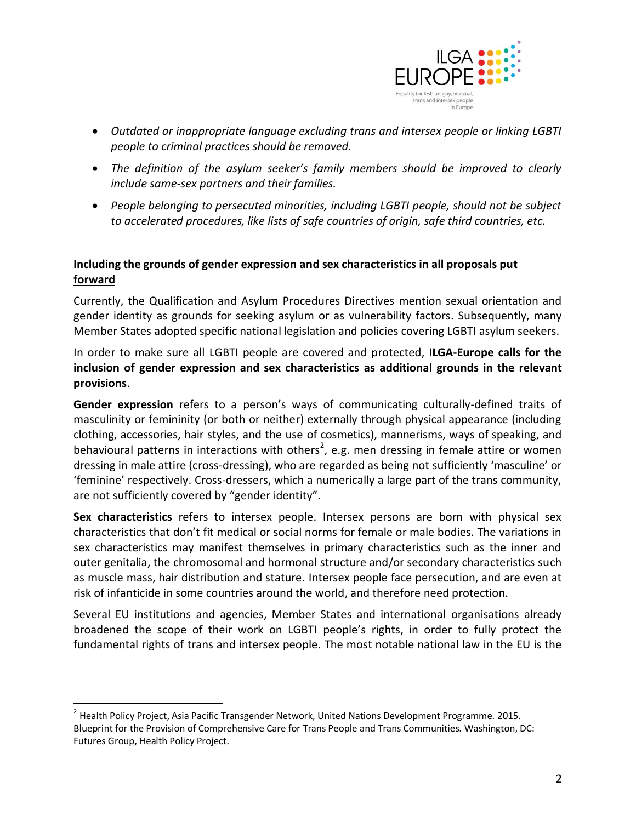

- *Outdated or inappropriate language excluding trans and intersex people or linking LGBTI people to criminal practices should be removed.*
- *The definition of the asylum seeker's family members should be improved to clearly include same-sex partners and their families.*
- *People belonging to persecuted minorities, including LGBTI people, should not be subject to accelerated procedures, like lists of safe countries of origin, safe third countries, etc.*

# **Including the grounds of gender expression and sex characteristics in all proposals put forward**

Currently, the Qualification and Asylum Procedures Directives mention sexual orientation and gender identity as grounds for seeking asylum or as vulnerability factors. Subsequently, many Member States adopted specific national legislation and policies covering LGBTI asylum seekers.

In order to make sure all LGBTI people are covered and protected, **ILGA-Europe calls for the inclusion of gender expression and sex characteristics as additional grounds in the relevant provisions**.

**Gender expression** refers to a person's ways of communicating culturally-defined traits of masculinity or femininity (or both or neither) externally through physical appearance (including clothing, accessories, hair styles, and the use of cosmetics), mannerisms, ways of speaking, and behavioural patterns in interactions with others<sup>2</sup>, e.g. men dressing in female attire or women dressing in male attire (cross-dressing), who are regarded as being not sufficiently 'masculine' or 'feminine' respectively. Cross-dressers, which a numerically a large part of the trans community, are not sufficiently covered by "gender identity".

**Sex characteristics** refers to intersex people. Intersex persons are born with physical sex characteristics that don't fit medical or social norms for female or male bodies. The variations in sex characteristics may manifest themselves in primary characteristics such as the inner and outer genitalia, the chromosomal and hormonal structure and/or secondary characteristics such as muscle mass, hair distribution and stature. Intersex people face persecution, and are even at risk of infanticide in some countries around the world, and therefore need protection.

Several EU institutions and agencies, Member States and international organisations already broadened the scope of their work on LGBTI people's rights, in order to fully protect the fundamental rights of trans and intersex people. The most notable national law in the EU is the

 $\overline{a}$ 

<sup>&</sup>lt;sup>2</sup> Health Policy Project, Asia Pacific Transgender Network, United Nations Development Programme. 2015. Blueprint for the Provision of Comprehensive Care for Trans People and Trans Communities. Washington, DC: Futures Group, Health Policy Project.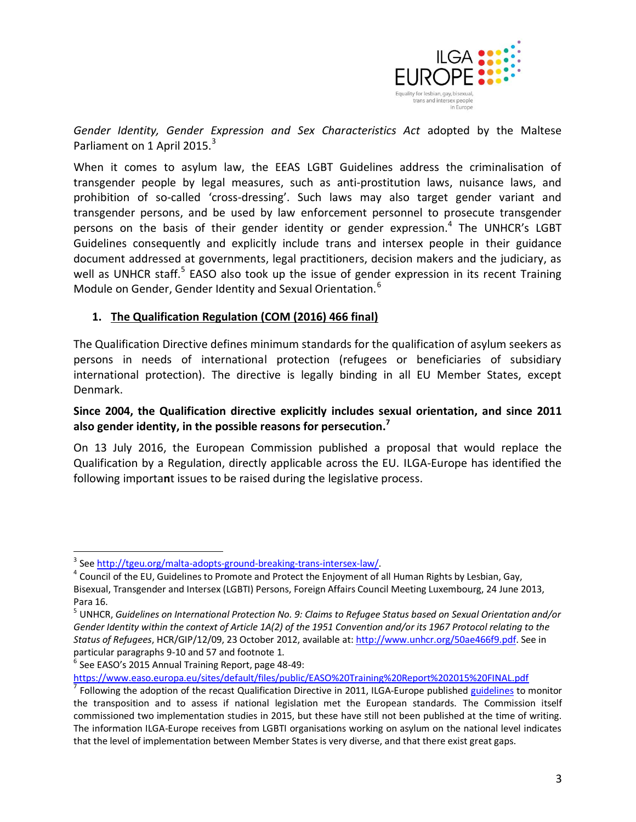

*Gender Identity, Gender Expression and Sex Characteristics Act* adopted by the Maltese Parliament on 1 April 2015.<sup>3</sup>

When it comes to asylum law, the EEAS LGBT Guidelines address the criminalisation of transgender people by legal measures, such as anti-prostitution laws, nuisance laws, and prohibition of so-called 'cross-dressing'. Such laws may also target gender variant and transgender persons, and be used by law enforcement personnel to prosecute transgender persons on the basis of their gender identity or gender expression.<sup>4</sup> The UNHCR's LGBT Guidelines consequently and explicitly include trans and intersex people in their guidance document addressed at governments, legal practitioners, decision makers and the judiciary, as well as UNHCR staff.<sup>5</sup> EASO also took up the issue of gender expression in its recent Training Module on Gender, Gender Identity and Sexual Orientation.<sup>6</sup>

#### **1. The Qualification Regulation (COM (2016) 466 final)**

The Qualification Directive defines minimum standards for the qualification of asylum seekers as persons in needs of international protection (refugees or beneficiaries of subsidiary international protection). The directive is legally binding in all EU Member States, except Denmark.

### **Since 2004, the Qualification directive explicitly includes sexual orientation, and since 2011 also gender identity, in the possible reasons for persecution. 7**

On 13 July 2016, the European Commission published a proposal that would replace the Qualification by a Regulation, directly applicable across the EU. ILGA-Europe has identified the following importa**n**t issues to be raised during the legislative process.

<sup>6</sup> See EASO's 2015 Annual Training Report, page 48-49:

 $\overline{a}$ 

<https://www.easo.europa.eu/sites/default/files/public/EASO%20Training%20Report%202015%20FINAL.pdf>

<sup>&</sup>lt;sup>3</sup> Se[e http://tgeu.org/malta-adopts-ground-breaking-trans-intersex-law/.](http://tgeu.org/malta-adopts-ground-breaking-trans-intersex-law/)

 $^4$  Council of the EU, Guidelines to Promote and Protect the Enjoyment of all Human Rights by Lesbian, Gay, Bisexual, Transgender and Intersex (LGBTI) Persons, Foreign Affairs Council Meeting Luxembourg, 24 June 2013, Para 16.

<sup>5</sup> UNHCR, *Guidelines on International Protection No. 9: Claims to Refugee Status based on Sexual Orientation and/or Gender Identity within the context of Article 1A(2) of the 1951 Convention and/or its 1967 Protocol relating to the Status of Refugees*, HCR/GIP/12/09, 23 October 2012, available at[: http://www.unhcr.org/50ae466f9.pdf.](http://www.unhcr.org/50ae466f9.pdf) See in particular paragraphs 9-10 and 57 and footnote 1.

<sup>&</sup>lt;sup>7</sup> Following the adoption of the recast Qualification Directive in 2011, ILGA-Europe published [guidelines](http://www.ilga-europe.org/sites/default/files/directive_transposition_web.pdf) to monitor the transposition and to assess if national legislation met the European standards. The Commission itself commissioned two implementation studies in 2015, but these have still not been published at the time of writing. The information ILGA-Europe receives from LGBTI organisations working on asylum on the national level indicates that the level of implementation between Member States is very diverse, and that there exist great gaps.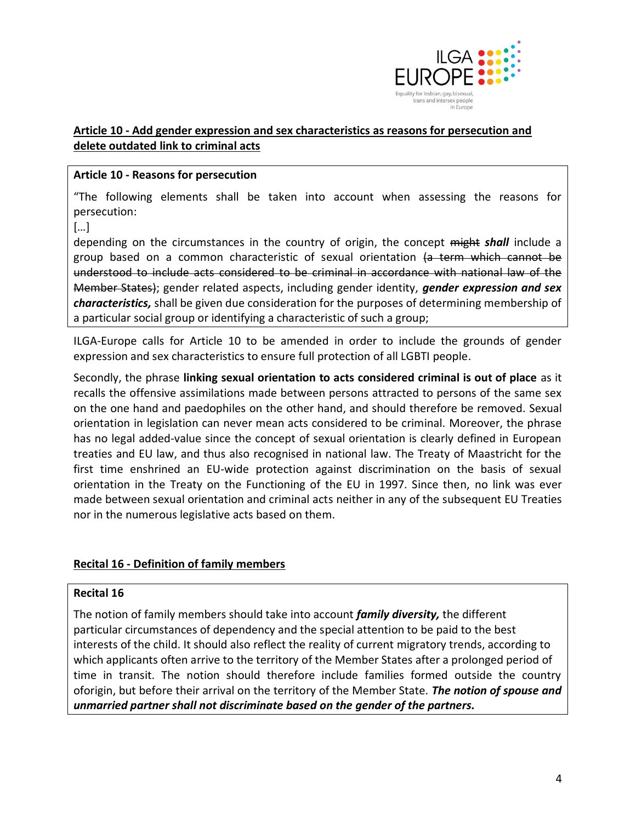

# **Article 10 - Add gender expression and sex characteristics as reasons for persecution and delete outdated link to criminal acts**

### **Article 10 - Reasons for persecution**

"The following elements shall be taken into account when assessing the reasons for persecution:

[…]

depending on the circumstances in the country of origin, the concept might *shall* include a group based on a common characteristic of sexual orientation (a term which cannot be understood to include acts considered to be criminal in accordance with national law of the Member States); gender related aspects, including gender identity, *gender expression and sex characteristics,* shall be given due consideration for the purposes of determining membership of a particular social group or identifying a characteristic of such a group;

ILGA-Europe calls for Article 10 to be amended in order to include the grounds of gender expression and sex characteristics to ensure full protection of all LGBTI people.

Secondly, the phrase **linking sexual orientation to acts considered criminal is out of place** as it recalls the offensive assimilations made between persons attracted to persons of the same sex on the one hand and paedophiles on the other hand, and should therefore be removed. Sexual orientation in legislation can never mean acts considered to be criminal. Moreover, the phrase has no legal added-value since the concept of sexual orientation is clearly defined in European treaties and EU law, and thus also recognised in national law. The Treaty of Maastricht for the first time enshrined an EU-wide protection against discrimination on the basis of sexual orientation in the Treaty on the Functioning of the EU in 1997. Since then, no link was ever made between sexual orientation and criminal acts neither in any of the subsequent EU Treaties nor in the numerous legislative acts based on them.

### **Recital 16 - Definition of family members**

#### **Recital 16**

The notion of family members should take into account *family diversity,* the different particular circumstances of dependency and the special attention to be paid to the best interests of the child. It should also reflect the reality of current migratory trends, according to which applicants often arrive to the territory of the Member States after a prolonged period of time in transit. The notion should therefore include families formed outside the country oforigin, but before their arrival on the territory of the Member State. *The notion of spouse and unmarried partner shall not discriminate based on the gender of the partners.*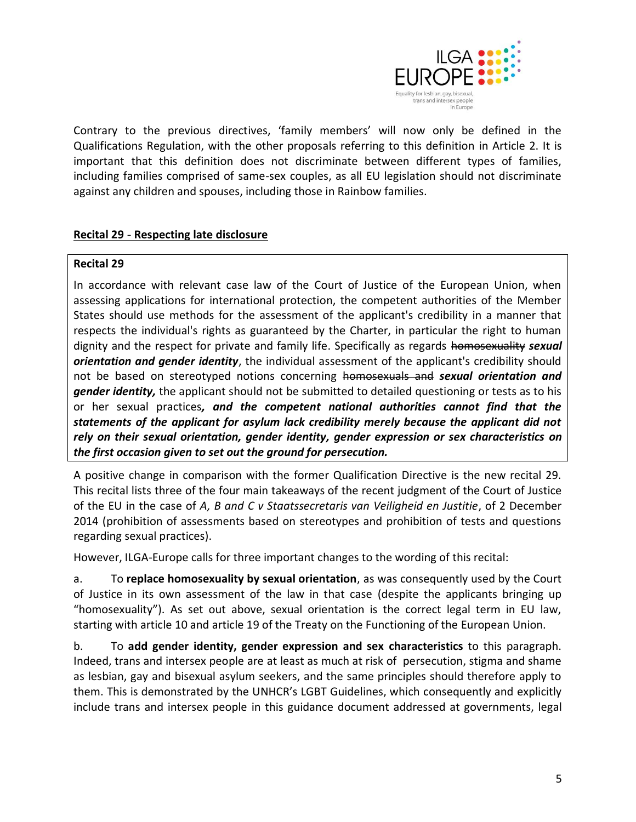

Contrary to the previous directives, 'family members' will now only be defined in the Qualifications Regulation, with the other proposals referring to this definition in Article 2. It is important that this definition does not discriminate between different types of families, including families comprised of same-sex couples, as all EU legislation should not discriminate against any children and spouses, including those in Rainbow families.

# **Recital 29** - **Respecting late disclosure**

#### **Recital 29**

In accordance with relevant case law of the Court of Justice of the European Union, when assessing applications for international protection, the competent authorities of the Member States should use methods for the assessment of the applicant's credibility in a manner that respects the individual's rights as guaranteed by the Charter, in particular the right to human dignity and the respect for private and family life. Specifically as regards homosexuality *sexual orientation and gender identity*, the individual assessment of the applicant's credibility should not be based on stereotyped notions concerning homosexuals and *sexual orientation and gender identity,* the applicant should not be submitted to detailed questioning or tests as to his or her sexual practices*, and the competent national authorities cannot find that the statements of the applicant for asylum lack credibility merely because the applicant did not rely on their sexual orientation, gender identity, gender expression or sex characteristics on the first occasion given to set out the ground for persecution.*

A positive change in comparison with the former Qualification Directive is the new recital 29. This recital lists three of the four main takeaways of the recent judgment of the Court of Justice of the EU in the case of *A, B and C v Staatssecretaris van Veiligheid en Justitie*, of 2 December 2014 (prohibition of assessments based on stereotypes and prohibition of tests and questions regarding sexual practices).

However, ILGA-Europe calls for three important changes to the wording of this recital:

a. To **replace homosexuality by sexual orientation**, as was consequently used by the Court of Justice in its own assessment of the law in that case (despite the applicants bringing up "homosexuality"). As set out above, sexual orientation is the correct legal term in EU law, starting with article 10 and article 19 of the Treaty on the Functioning of the European Union.

b. To **add gender identity, gender expression and sex characteristics** to this paragraph. Indeed, trans and intersex people are at least as much at risk of persecution, stigma and shame as lesbian, gay and bisexual asylum seekers, and the same principles should therefore apply to them. This is demonstrated by the UNHCR's LGBT Guidelines, which consequently and explicitly include trans and intersex people in this guidance document addressed at governments, legal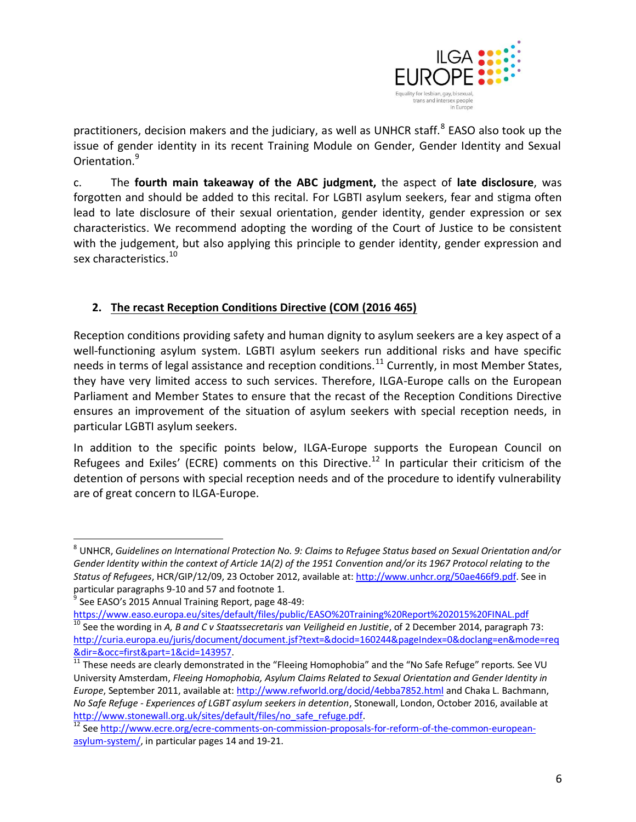

practitioners, decision makers and the judiciary, as well as UNHCR staff.<sup>8</sup> EASO also took up the issue of gender identity in its recent Training Module on Gender, Gender Identity and Sexual Orientation.<sup>9</sup>

c. The **fourth main takeaway of the ABC judgment,** the aspect of **late disclosure**, was forgotten and should be added to this recital. For LGBTI asylum seekers, fear and stigma often lead to late disclosure of their sexual orientation, gender identity, gender expression or sex characteristics. We recommend adopting the wording of the Court of Justice to be consistent with the judgement, but also applying this principle to gender identity, gender expression and sex characteristics.<sup>10</sup>

# **2. The recast Reception Conditions Directive (COM (2016 465)**

Reception conditions providing safety and human dignity to asylum seekers are a key aspect of a well-functioning asylum system. LGBTI asylum seekers run additional risks and have specific needs in terms of legal assistance and reception conditions.<sup>11</sup> Currently, in most Member States, they have very limited access to such services. Therefore, ILGA-Europe calls on the European Parliament and Member States to ensure that the recast of the Reception Conditions Directive ensures an improvement of the situation of asylum seekers with special reception needs, in particular LGBTI asylum seekers.

In addition to the specific points below, ILGA-Europe supports the European Council on Refugees and Exiles' (ECRE) comments on this Directive.<sup>12</sup> In particular their criticism of the detention of persons with special reception needs and of the procedure to identify vulnerability are of great concern to ILGA-Europe.

 $\overline{a}$ 

<sup>8</sup> UNHCR, *Guidelines on International Protection No. 9: Claims to Refugee Status based on Sexual Orientation and/or Gender Identity within the context of Article 1A(2) of the 1951 Convention and/or its 1967 Protocol relating to the Status of Refugees*, HCR/GIP/12/09, 23 October 2012, available at[: http://www.unhcr.org/50ae466f9.pdf.](http://www.unhcr.org/50ae466f9.pdf) See in particular paragraphs 9-10 and 57 and footnote 1.

<sup>&</sup>lt;sup>9</sup> See EASO's 2015 Annual Training Report, page 48-49:

<https://www.easo.europa.eu/sites/default/files/public/EASO%20Training%20Report%202015%20FINAL.pdf> <sup>10</sup> See the wording in *A, B and C v Staatssecretaris van Veiligheid en Justitie*, of 2 December 2014, paragraph 73: [http://curia.europa.eu/juris/document/document.jsf?text=&docid=160244&pageIndex=0&doclang=en&mode=req](http://curia.europa.eu/juris/document/document.jsf?text=&docid=160244&pageIndex=0&doclang=en&mode=req&dir=&occ=first&part=1&cid=143957) [&dir=&occ=first&part=1&cid=143957.](http://curia.europa.eu/juris/document/document.jsf?text=&docid=160244&pageIndex=0&doclang=en&mode=req&dir=&occ=first&part=1&cid=143957)

<sup>11</sup> These needs are clearly demonstrated in the "Fleeing Homophobia" and the "No Safe Refuge" reports. See VU University Amsterdam, *Fleeing Homophobia, Asylum Claims Related to Sexual Orientation and Gender Identity in Europe*, September 2011, available at[: http://www.refworld.org/docid/4ebba7852.html](http://www.refworld.org/docid/4ebba7852.html) and Chaka L. Bachmann, *No Safe Refuge - Experiences of LGBT asylum seekers in detention*, Stonewall, London, October 2016, available at [http://www.stonewall.org.uk/sites/default/files/no\\_safe\\_refuge.pdf.](http://www.stonewall.org.uk/sites/default/files/no_safe_refuge.pdf)

<sup>&</sup>lt;sup>12</sup> Se[e http://www.ecre.org/ecre-comments-on-commission-proposals-for-reform-of-the-common-european](http://www.ecre.org/ecre-comments-on-commission-proposals-for-reform-of-the-common-european-asylum-system/)[asylum-system/,](http://www.ecre.org/ecre-comments-on-commission-proposals-for-reform-of-the-common-european-asylum-system/) in particular pages 14 and 19-21.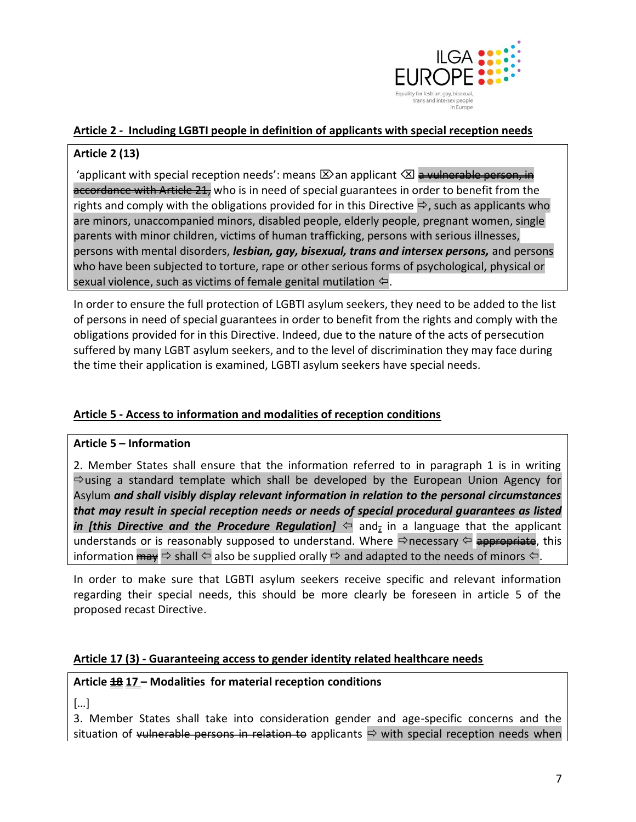

### **Article 2** *-* **Including LGBTI people in definition of applicants with special reception needs**

# **Article 2 (13)**

'applicant with special reception needs': means  $\boxtimes$  an applicant  $\boxtimes$  a vulnerable person, in accordance with Article 21, who is in need of special guarantees in order to benefit from the rights and comply with the obligations provided for in this Directive  $\Rightarrow$ , such as applicants who are minors, unaccompanied minors, disabled people, elderly people, pregnant women, single parents with minor children, victims of human trafficking, persons with serious illnesses, persons with mental disorders, *lesbian, gay, bisexual, trans and intersex persons,* and persons who have been subjected to torture, rape or other serious forms of psychological, physical or sexual violence, such as victims of female genital mutilation  $\Leftarrow$ .

In order to ensure the full protection of LGBTI asylum seekers, they need to be added to the list of persons in need of special guarantees in order to benefit from the rights and comply with the obligations provided for in this Directive. Indeed, due to the nature of the acts of persecution suffered by many LGBT asylum seekers, and to the level of discrimination they may face during the time their application is examined, LGBTI asylum seekers have special needs.

### **Article 5 - Access to information and modalities of reception conditions**

### **Article 5 – Information**

2. Member States shall ensure that the information referred to in paragraph 1 is in writing  $\Rightarrow$  using a standard template which shall be developed by the European Union Agency for Asylum *and shall visibly display relevant information in relation to the personal circumstances that may result in special reception needs or needs of special procedural guarantees as listed in [this Directive and the Procedure Regulation]*  $\Leftrightarrow$  and<sub>*z*</sub> in a language that the applicant understands or is reasonably supposed to understand. Where  $\Rightarrow$  necessary  $\Leftarrow$  appropriate, this information  $\frac{m}{m}$   $\Rightarrow$  shall  $\Leftrightarrow$  also be supplied orally  $\Rightarrow$  and adapted to the needs of minors  $\Leftrightarrow$ .

In order to make sure that LGBTI asylum seekers receive specific and relevant information regarding their special needs, this should be more clearly be foreseen in article 5 of the proposed recast Directive.

### **Article 17 (3) - Guaranteeing access to gender identity related healthcare needs**

### **Article 18 17 – Modalities for material reception conditions**

[…]

3. Member States shall take into consideration gender and age-specific concerns and the situation of vulnerable persons in relation to applicants  $\Rightarrow$  with special reception needs when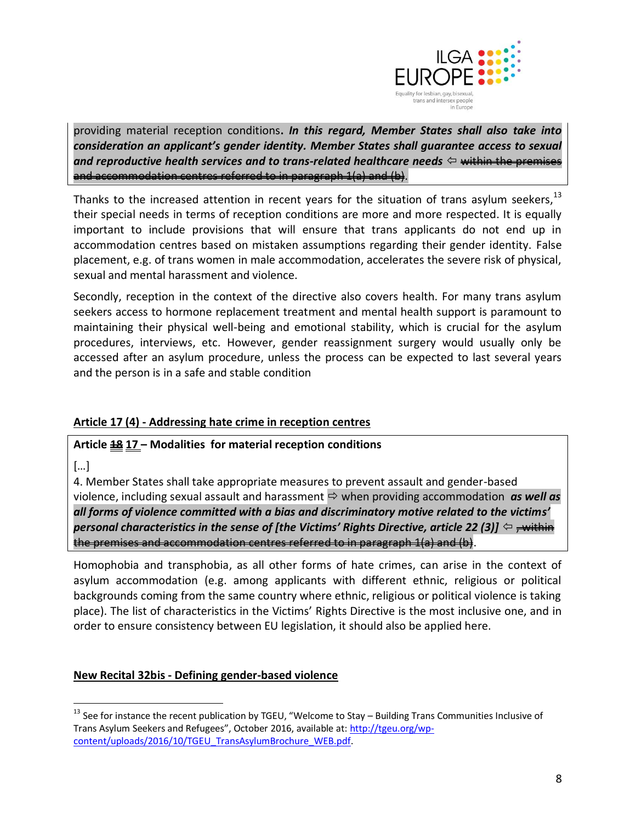

providing material reception conditions**.** *In this regard, Member States shall also take into consideration an applicant's gender identity. Member States shall guarantee access to sexual*  and reproductive health services and to trans-related healthcare needs  $\Leftrightarrow$  <del>within the premises</del> and accommodation centres referred to in paragraph 1(a) and (b).

Thanks to the increased attention in recent years for the situation of trans asylum seekers,  $13$ their special needs in terms of reception conditions are more and more respected. It is equally important to include provisions that will ensure that trans applicants do not end up in accommodation centres based on mistaken assumptions regarding their gender identity. False placement, e.g. of trans women in male accommodation, accelerates the severe risk of physical, sexual and mental harassment and violence.

Secondly, reception in the context of the directive also covers health. For many trans asylum seekers access to hormone replacement treatment and mental health support is paramount to maintaining their physical well-being and emotional stability, which is crucial for the asylum procedures, interviews, etc. However, gender reassignment surgery would usually only be accessed after an asylum procedure, unless the process can be expected to last several years and the person is in a safe and stable condition

### **Article 17 (4) - Addressing hate crime in reception centres**

#### **Article 18 17 – Modalities for material reception conditions**

[…]

4. Member States shall take appropriate measures to prevent assault and gender-based violence, including sexual assault and harassment  $\Rightarrow$  when providing accommodation *as well as all forms of violence committed with a bias and discriminatory motive related to the victims' personal characteristics in the sense of [the Victims' Rights Directive, article 22 (3)]*  $\Leftrightarrow$  <del>, within</del> the premises and accommodation centres referred to in paragraph 1(a) and (b).

Homophobia and transphobia, as all other forms of hate crimes, can arise in the context of asylum accommodation (e.g. among applicants with different ethnic, religious or political backgrounds coming from the same country where ethnic, religious or political violence is taking place). The list of characteristics in the Victims' Rights Directive is the most inclusive one, and in order to ensure consistency between EU legislation, it should also be applied here.

#### **New Recital 32bis - Defining gender-based violence**

 $\overline{a}$ <sup>13</sup> See for instance the recent publication by TGEU, "Welcome to Stay – Building Trans Communities Inclusive of Trans Asylum Seekers and Refugees", October 2016, available at: [http://tgeu.org/wp](http://tgeu.org/wp-content/uploads/2016/10/TGEU_TransAsylumBrochure_WEB.pdf)[content/uploads/2016/10/TGEU\\_TransAsylumBrochure\\_WEB.pdf.](http://tgeu.org/wp-content/uploads/2016/10/TGEU_TransAsylumBrochure_WEB.pdf)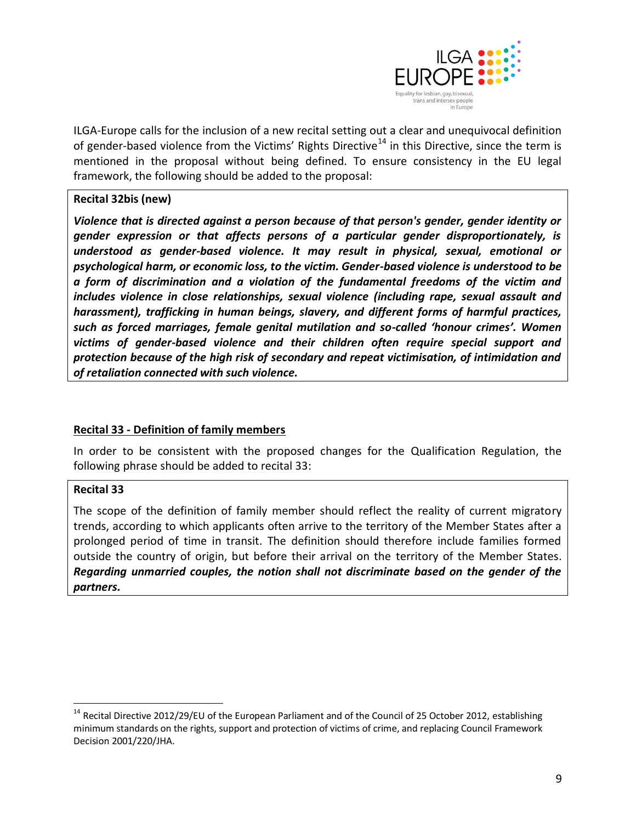

ILGA-Europe calls for the inclusion of a new recital setting out a clear and unequivocal definition of gender-based violence from the Victims' Rights Directive<sup>14</sup> in this Directive, since the term is mentioned in the proposal without being defined. To ensure consistency in the EU legal framework, the following should be added to the proposal:

### **Recital 32bis (new)**

*Violence that is directed against a person because of that person's gender, gender identity or gender expression or that affects persons of a particular gender disproportionately, is understood as gender-based violence. It may result in physical, sexual, emotional or psychological harm, or economic loss, to the victim. Gender-based violence is understood to be a form of discrimination and a violation of the fundamental freedoms of the victim and includes violence in close relationships, sexual violence (including rape, sexual assault and harassment), trafficking in human beings, slavery, and different forms of harmful practices, such as forced marriages, female genital mutilation and so-called 'honour crimes'. Women victims of gender-based violence and their children often require special support and protection because of the high risk of secondary and repeat victimisation, of intimidation and of retaliation connected with such violence.*

### **Recital 33 - Definition of family members**

In order to be consistent with the proposed changes for the Qualification Regulation, the following phrase should be added to recital 33:

### **Recital 33**

 $\overline{a}$ 

The scope of the definition of family member should reflect the reality of current migratory trends, according to which applicants often arrive to the territory of the Member States after a prolonged period of time in transit. The definition should therefore include families formed outside the country of origin, but before their arrival on the territory of the Member States. *Regarding unmarried couples, the notion shall not discriminate based on the gender of the partners.*

<sup>&</sup>lt;sup>14</sup> Recital Directive 2012/29/EU of the European Parliament and of the Council of 25 October 2012, establishing minimum standards on the rights, support and protection of victims of crime, and replacing Council Framework Decision 2001/220/JHA.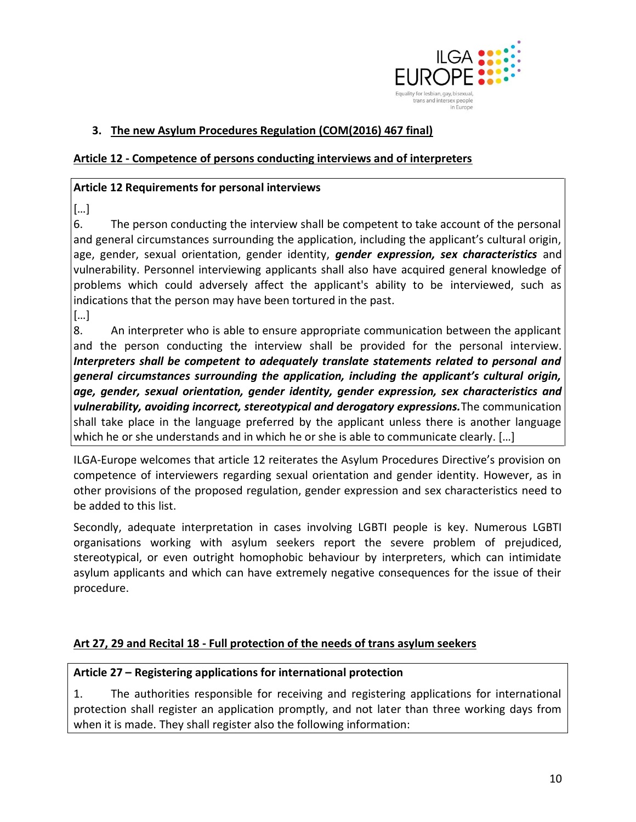

# **3. The new Asylum Procedures Regulation (COM(2016) 467 final)**

#### **Article 12 - Competence of persons conducting interviews and of interpreters**

#### **Article 12 Requirements for personal interviews**

[…]

6. The person conducting the interview shall be competent to take account of the personal and general circumstances surrounding the application, including the applicant's cultural origin, age, gender, sexual orientation, gender identity, *gender expression, sex characteristics* and vulnerability. Personnel interviewing applicants shall also have acquired general knowledge of problems which could adversely affect the applicant's ability to be interviewed, such as indications that the person may have been tortured in the past.

[…]

8. An interpreter who is able to ensure appropriate communication between the applicant and the person conducting the interview shall be provided for the personal interview. *Interpreters shall be competent to adequately translate statements related to personal and general circumstances surrounding the application, including the applicant's cultural origin, age, gender, sexual orientation, gender identity, gender expression, sex characteristics and vulnerability, avoiding incorrect, stereotypical and derogatory expressions.*The communication shall take place in the language preferred by the applicant unless there is another language which he or she understands and in which he or she is able to communicate clearly. […]

ILGA-Europe welcomes that article 12 reiterates the Asylum Procedures Directive's provision on competence of interviewers regarding sexual orientation and gender identity. However, as in other provisions of the proposed regulation, gender expression and sex characteristics need to be added to this list.

Secondly, adequate interpretation in cases involving LGBTI people is key. Numerous LGBTI organisations working with asylum seekers report the severe problem of prejudiced, stereotypical, or even outright homophobic behaviour by interpreters, which can intimidate asylum applicants and which can have extremely negative consequences for the issue of their procedure.

#### **Art 27, 29 and Recital 18 - Full protection of the needs of trans asylum seekers**

#### **Article 27 – Registering applications for international protection**

1. The authorities responsible for receiving and registering applications for international protection shall register an application promptly, and not later than three working days from when it is made. They shall register also the following information: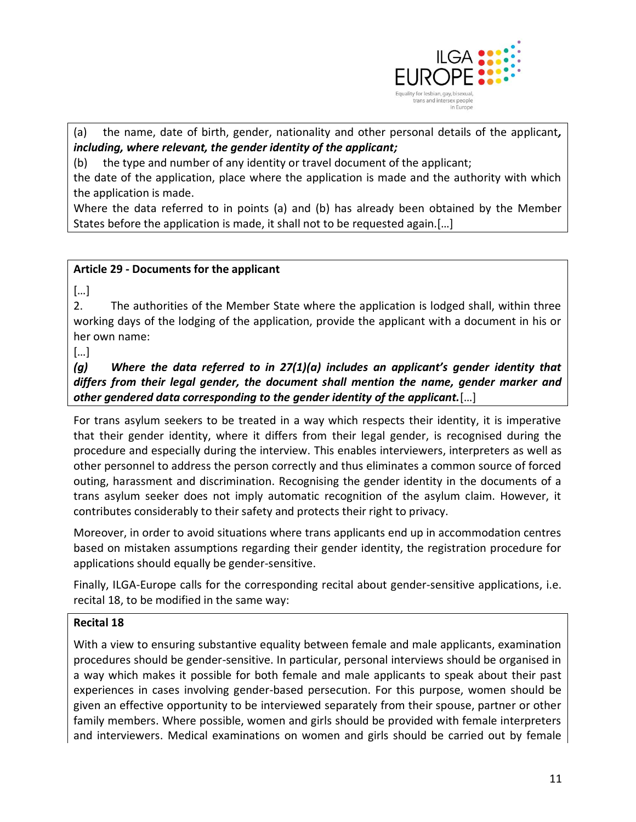

(a) the name, date of birth, gender, nationality and other personal details of the applicant*, including, where relevant, the gender identity of the applicant;*

(b) the type and number of any identity or travel document of the applicant;

the date of the application, place where the application is made and the authority with which the application is made.

Where the data referred to in points (a) and (b) has already been obtained by the Member States before the application is made, it shall not to be requested again.[…]

### **Article 29 - Documents for the applicant**

[…]

2. The authorities of the Member State where the application is lodged shall, within three working days of the lodging of the application, provide the applicant with a document in his or her own name:

[…]

*(g) Where the data referred to in 27(1)(a) includes an applicant's gender identity that differs from their legal gender, the document shall mention the name, gender marker and other gendered data corresponding to the gender identity of the applicant.*[…]

For trans asylum seekers to be treated in a way which respects their identity, it is imperative that their gender identity, where it differs from their legal gender, is recognised during the procedure and especially during the interview. This enables interviewers, interpreters as well as other personnel to address the person correctly and thus eliminates a common source of forced outing, harassment and discrimination. Recognising the gender identity in the documents of a trans asylum seeker does not imply automatic recognition of the asylum claim. However, it contributes considerably to their safety and protects their right to privacy.

Moreover, in order to avoid situations where trans applicants end up in accommodation centres based on mistaken assumptions regarding their gender identity, the registration procedure for applications should equally be gender-sensitive.

Finally, ILGA-Europe calls for the corresponding recital about gender-sensitive applications, i.e. recital 18, to be modified in the same way:

### **Recital 18**

With a view to ensuring substantive equality between female and male applicants, examination procedures should be gender-sensitive. In particular, personal interviews should be organised in a way which makes it possible for both female and male applicants to speak about their past experiences in cases involving gender-based persecution. For this purpose, women should be given an effective opportunity to be interviewed separately from their spouse, partner or other family members. Where possible, women and girls should be provided with female interpreters and interviewers. Medical examinations on women and girls should be carried out by female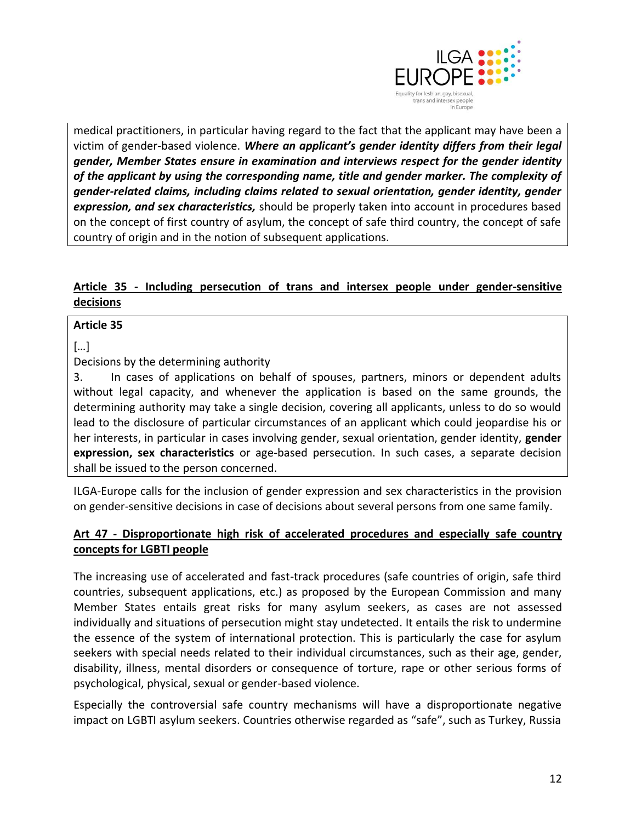

medical practitioners, in particular having regard to the fact that the applicant may have been a victim of gender-based violence. *Where an applicant's gender identity differs from their legal gender, Member States ensure in examination and interviews respect for the gender identity of the applicant by using the corresponding name, title and gender marker. The complexity of gender-related claims, including claims related to sexual orientation, gender identity, gender expression, and sex characteristics,* should be properly taken into account in procedures based on the concept of first country of asylum, the concept of safe third country, the concept of safe country of origin and in the notion of subsequent applications.

# **Article 35 - Including persecution of trans and intersex people under gender-sensitive decisions**

#### **Article 35**

[…]

Decisions by the determining authority

3. In cases of applications on behalf of spouses, partners, minors or dependent adults without legal capacity, and whenever the application is based on the same grounds, the determining authority may take a single decision, covering all applicants, unless to do so would lead to the disclosure of particular circumstances of an applicant which could jeopardise his or her interests, in particular in cases involving gender, sexual orientation, gender identity, **gender expression, sex characteristics** or age-based persecution. In such cases, a separate decision shall be issued to the person concerned.

ILGA-Europe calls for the inclusion of gender expression and sex characteristics in the provision on gender-sensitive decisions in case of decisions about several persons from one same family.

# **Art 47 - Disproportionate high risk of accelerated procedures and especially safe country concepts for LGBTI people**

The increasing use of accelerated and fast-track procedures (safe countries of origin, safe third countries, subsequent applications, etc.) as proposed by the European Commission and many Member States entails great risks for many asylum seekers, as cases are not assessed individually and situations of persecution might stay undetected. It entails the risk to undermine the essence of the system of international protection. This is particularly the case for asylum seekers with special needs related to their individual circumstances, such as their age, gender, disability, illness, mental disorders or consequence of torture, rape or other serious forms of psychological, physical, sexual or gender-based violence.

Especially the controversial safe country mechanisms will have a disproportionate negative impact on LGBTI asylum seekers. Countries otherwise regarded as "safe", such as Turkey, Russia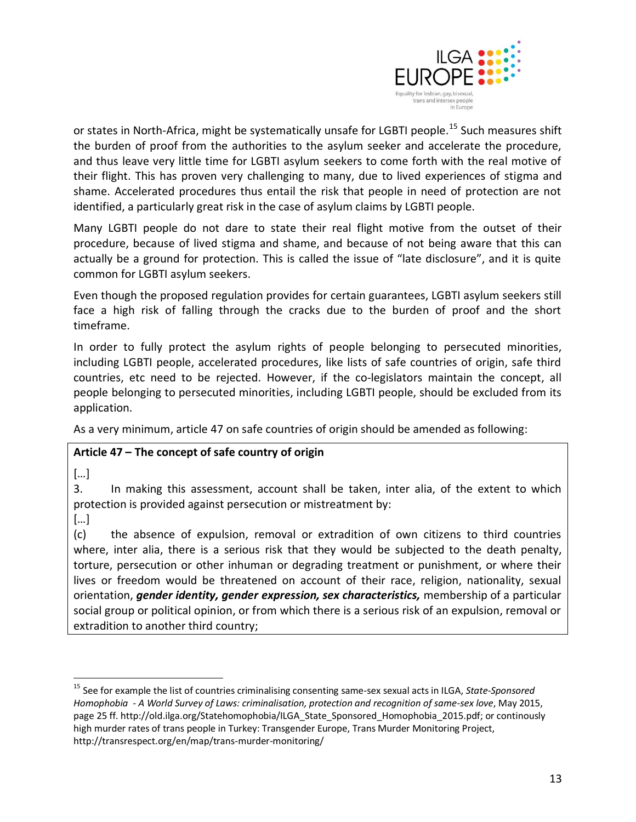

or states in North-Africa, might be systematically unsafe for LGBTI people.<sup>15</sup> Such measures shift the burden of proof from the authorities to the asylum seeker and accelerate the procedure, and thus leave very little time for LGBTI asylum seekers to come forth with the real motive of their flight. This has proven very challenging to many, due to lived experiences of stigma and shame. Accelerated procedures thus entail the risk that people in need of protection are not identified, a particularly great risk in the case of asylum claims by LGBTI people.

Many LGBTI people do not dare to state their real flight motive from the outset of their procedure, because of lived stigma and shame, and because of not being aware that this can actually be a ground for protection. This is called the issue of "late disclosure", and it is quite common for LGBTI asylum seekers.

Even though the proposed regulation provides for certain guarantees, LGBTI asylum seekers still face a high risk of falling through the cracks due to the burden of proof and the short timeframe.

In order to fully protect the asylum rights of people belonging to persecuted minorities, including LGBTI people, accelerated procedures, like lists of safe countries of origin, safe third countries, etc need to be rejected. However, if the co-legislators maintain the concept, all people belonging to persecuted minorities, including LGBTI people, should be excluded from its application.

As a very minimum, article 47 on safe countries of origin should be amended as following:

### **Article 47 – The concept of safe country of origin**

[…]

3. In making this assessment, account shall be taken, inter alia, of the extent to which protection is provided against persecution or mistreatment by:

[…]

 $\overline{a}$ 

(c) the absence of expulsion, removal or extradition of own citizens to third countries where, inter alia, there is a serious risk that they would be subjected to the death penalty, torture, persecution or other inhuman or degrading treatment or punishment, or where their lives or freedom would be threatened on account of their race, religion, nationality, sexual orientation, *gender identity, gender expression, sex characteristics,* membership of a particular social group or political opinion, or from which there is a serious risk of an expulsion, removal or extradition to another third country;

<sup>15</sup> See for example the list of countries criminalising consenting same-sex sexual acts in ILGA, *State-Sponsored Homophobia - A World Survey of Laws: criminalisation, protection and recognition of same-sex love*, May 2015, page 25 ff. http://old.ilga.org/Statehomophobia/ILGA\_State\_Sponsored\_Homophobia\_2015.pdf; or continously high murder rates of trans people in Turkey: Transgender Europe, Trans Murder Monitoring Project, http://transrespect.org/en/map/trans-murder-monitoring/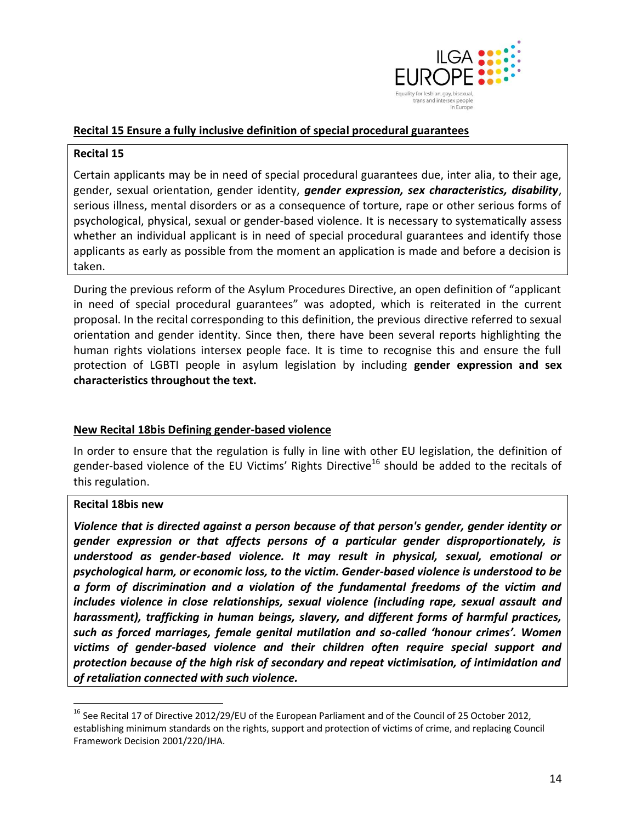

#### **Recital 15 Ensure a fully inclusive definition of special procedural guarantees**

#### **Recital 15**

Certain applicants may be in need of special procedural guarantees due, inter alia, to their age, gender, sexual orientation, gender identity, *gender expression, sex characteristics, disability*, serious illness, mental disorders or as a consequence of torture, rape or other serious forms of psychological, physical, sexual or gender-based violence. It is necessary to systematically assess whether an individual applicant is in need of special procedural guarantees and identify those applicants as early as possible from the moment an application is made and before a decision is taken.

During the previous reform of the Asylum Procedures Directive, an open definition of "applicant in need of special procedural guarantees" was adopted, which is reiterated in the current proposal. In the recital corresponding to this definition, the previous directive referred to sexual orientation and gender identity. Since then, there have been several reports highlighting the human rights violations intersex people face. It is time to recognise this and ensure the full protection of LGBTI people in asylum legislation by including **gender expression and sex characteristics throughout the text.** 

#### **New Recital 18bis Defining gender-based violence**

In order to ensure that the regulation is fully in line with other EU legislation, the definition of gender-based violence of the EU Victims' Rights Directive<sup>16</sup> should be added to the recitals of this regulation.

#### **Recital 18bis new**

 $\overline{a}$ 

*Violence that is directed against a person because of that person's gender, gender identity or gender expression or that affects persons of a particular gender disproportionately, is understood as gender-based violence. It may result in physical, sexual, emotional or psychological harm, or economic loss, to the victim. Gender-based violence is understood to be a form of discrimination and a violation of the fundamental freedoms of the victim and includes violence in close relationships, sexual violence (including rape, sexual assault and harassment), trafficking in human beings, slavery, and different forms of harmful practices, such as forced marriages, female genital mutilation and so-called 'honour crimes'. Women victims of gender-based violence and their children often require special support and protection because of the high risk of secondary and repeat victimisation, of intimidation and of retaliation connected with such violence.*

<sup>&</sup>lt;sup>16</sup> See Recital 17 of Directive 2012/29/EU of the European Parliament and of the Council of 25 October 2012, establishing minimum standards on the rights, support and protection of victims of crime, and replacing Council Framework Decision 2001/220/JHA.